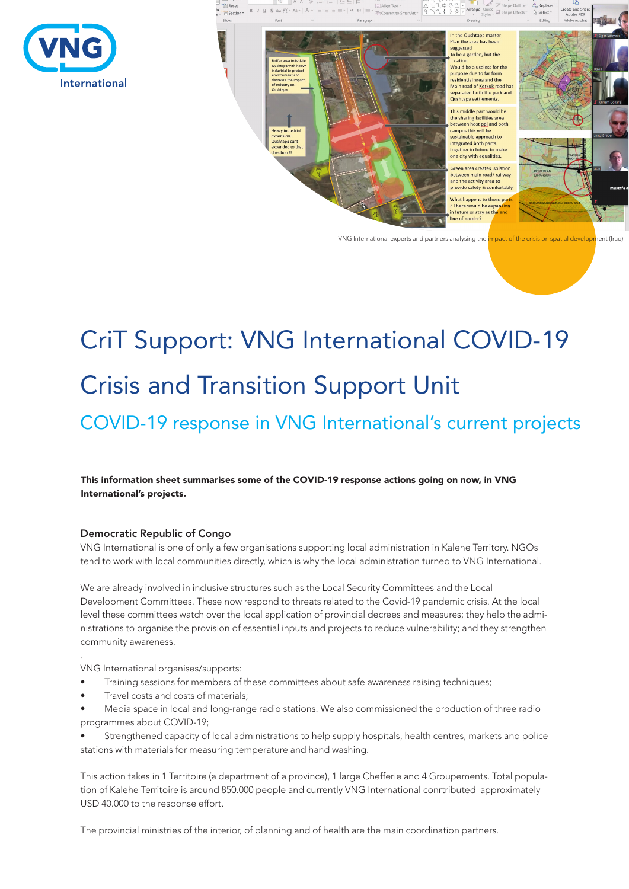



# CriT Support: VNG International COVID-19 Crisis and Transition Support Unit

## COVID-19 response in VNG International's current projects

#### This information sheet summarises some of the COVID-19 response actions going on now, in VNG International's projects.

#### Democratic Republic of Congo

VNG International is one of only a few organisations supporting local administration in Kalehe Territory. NGOs tend to work with local communities directly, which is why the local administration turned to VNG International.

We are already involved in inclusive structures such as the Local Security Committees and the Local Development Committees. These now respond to threats related to the Covid-19 pandemic crisis. At the local level these committees watch over the local application of provincial decrees and measures; they help the administrations to organise the provision of essential inputs and projects to reduce vulnerability; and they strengthen community awareness.

VNG International organises/supports:

.

- Training sessions for members of these committees about safe awareness raising techniques;
- Travel costs and costs of materials;
- Media space in local and long-range radio stations. We also commissioned the production of three radio programmes about COVID-19;

• Strengthened capacity of local administrations to help supply hospitals, health centres, markets and police stations with materials for measuring temperature and hand washing.

This action takes in 1 Territoire (a department of a province), 1 large Chefferie and 4 Groupements. Total population of Kalehe Territoire is around 850.000 people and currently VNG International conrtributed approximately USD 40.000 to the response effort.

The provincial ministries of the interior, of planning and of health are the main coordination partners.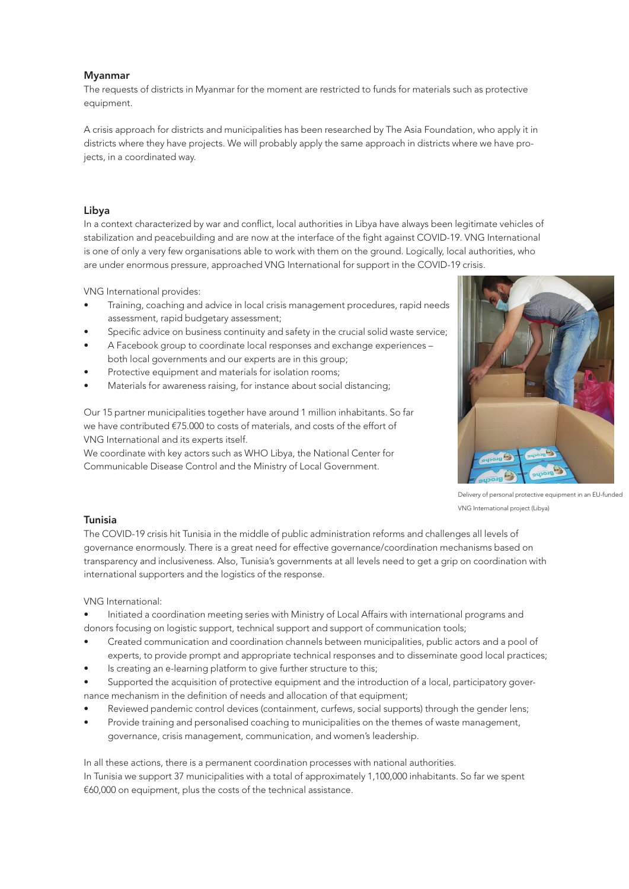#### Myanmar

The requests of districts in Myanmar for the moment are restricted to funds for materials such as protective equipment.

A crisis approach for districts and municipalities has been researched by The Asia Foundation, who apply it in districts where they have projects. We will probably apply the same approach in districts where we have projects, in a coordinated way.

#### Libya

In a context characterized by war and conflict, local authorities in Libya have always been legitimate vehicles of stabilization and peacebuilding and are now at the interface of the fight against COVID-19. VNG International is one of only a very few organisations able to work with them on the ground. Logically, local authorities, who are under enormous pressure, approached VNG International for support in the COVID-19 crisis.

VNG International provides:

- Training, coaching and advice in local crisis management procedures, rapid needs assessment, rapid budgetary assessment;
- Specific advice on business continuity and safety in the crucial solid waste service;
- A Facebook group to coordinate local responses and exchange experiences both local governments and our experts are in this group;
- Protective equipment and materials for isolation rooms;
- Materials for awareness raising, for instance about social distancing;

Our 15 partner municipalities together have around 1 million inhabitants. So far we have contributed €75.000 to costs of materials, and costs of the effort of VNG International and its experts itself.

We coordinate with key actors such as WHO Libya, the National Center for Communicable Disease Control and the Ministry of Local Government.



Delivery of personal protective equipment in an EU-funded VNG International project (Libya)

#### Tunisia

The COVID-19 crisis hit Tunisia in the middle of public administration reforms and challenges all levels of governance enormously. There is a great need for effective governance/coordination mechanisms based on transparency and inclusiveness. Also, Tunisia's governments at all levels need to get a grip on coordination with international supporters and the logistics of the response.

VNG International:

- Initiated a coordination meeting series with Ministry of Local Affairs with international programs and donors focusing on logistic support, technical support and support of communication tools;
- Created communication and coordination channels between municipalities, public actors and a pool of experts, to provide prompt and appropriate technical responses and to disseminate good local practices;
- Is creating an e-learning platform to give further structure to this;
- Supported the acquisition of protective equipment and the introduction of a local, participatory governance mechanism in the definition of needs and allocation of that equipment;
- Reviewed pandemic control devices (containment, curfews, social supports) through the gender lens;
- Provide training and personalised coaching to municipalities on the themes of waste management, governance, crisis management, communication, and women's leadership.

In all these actions, there is a permanent coordination processes with national authorities. In Tunisia we support 37 municipalities with a total of approximately 1,100,000 inhabitants. So far we spent €60,000 on equipment, plus the costs of the technical assistance.